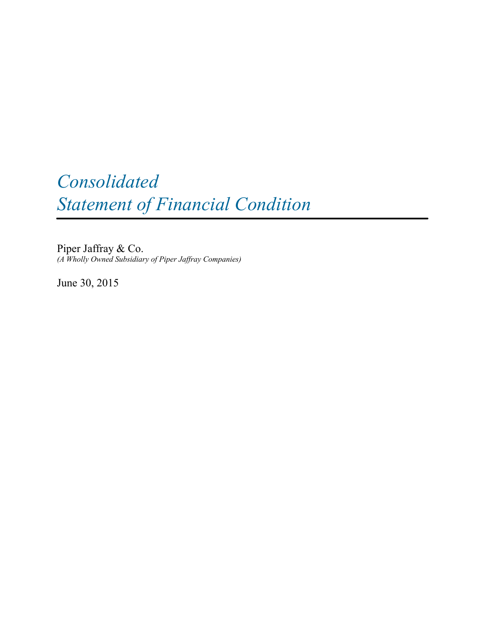# *Consolidated Statement of Financial Condition*

Piper Jaffray & Co. *(A Wholly Owned Subsidiary of Piper Jaffray Companies)*

June 30, 2015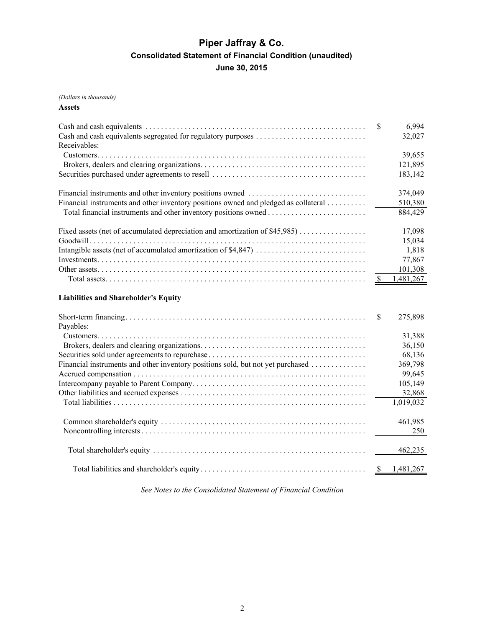## **Piper Jaffray & Co. Consolidated Statement of Financial Condition (unaudited) June 30, 2015**

*(Dollars in thousands)*

**Assets**

| Receivables:<br>39,655<br>121,895<br>183,142<br>374,049<br>Financial instruments and other inventory positions owned and pledged as collateral<br>510,380<br>884,429<br>Fixed assets (net of accumulated depreciation and amortization of \$45,985)<br>17,098<br>15,034<br>1,818<br>77,867<br>101,308<br>1,481,267<br><sup>\$</sup><br><b>Liabilities and Shareholder's Equity</b><br>275,898<br><sup>\$</sup><br>Payables:<br>31,388<br>36,150<br>68,136<br>Financial instruments and other inventory positions sold, but not yet purchased<br>369,798<br>99,645<br>105,149<br>32,868<br>$\overline{1}$ | S | 6,994<br>32,027 |
|----------------------------------------------------------------------------------------------------------------------------------------------------------------------------------------------------------------------------------------------------------------------------------------------------------------------------------------------------------------------------------------------------------------------------------------------------------------------------------------------------------------------------------------------------------------------------------------------------------|---|-----------------|
|                                                                                                                                                                                                                                                                                                                                                                                                                                                                                                                                                                                                          |   |                 |
|                                                                                                                                                                                                                                                                                                                                                                                                                                                                                                                                                                                                          |   |                 |
|                                                                                                                                                                                                                                                                                                                                                                                                                                                                                                                                                                                                          |   |                 |
|                                                                                                                                                                                                                                                                                                                                                                                                                                                                                                                                                                                                          |   |                 |
|                                                                                                                                                                                                                                                                                                                                                                                                                                                                                                                                                                                                          |   |                 |
|                                                                                                                                                                                                                                                                                                                                                                                                                                                                                                                                                                                                          |   |                 |
|                                                                                                                                                                                                                                                                                                                                                                                                                                                                                                                                                                                                          |   |                 |
|                                                                                                                                                                                                                                                                                                                                                                                                                                                                                                                                                                                                          |   |                 |
|                                                                                                                                                                                                                                                                                                                                                                                                                                                                                                                                                                                                          |   |                 |
|                                                                                                                                                                                                                                                                                                                                                                                                                                                                                                                                                                                                          |   |                 |
|                                                                                                                                                                                                                                                                                                                                                                                                                                                                                                                                                                                                          |   |                 |
|                                                                                                                                                                                                                                                                                                                                                                                                                                                                                                                                                                                                          |   |                 |
|                                                                                                                                                                                                                                                                                                                                                                                                                                                                                                                                                                                                          |   |                 |
|                                                                                                                                                                                                                                                                                                                                                                                                                                                                                                                                                                                                          |   |                 |
|                                                                                                                                                                                                                                                                                                                                                                                                                                                                                                                                                                                                          |   |                 |
|                                                                                                                                                                                                                                                                                                                                                                                                                                                                                                                                                                                                          |   |                 |
|                                                                                                                                                                                                                                                                                                                                                                                                                                                                                                                                                                                                          |   |                 |
|                                                                                                                                                                                                                                                                                                                                                                                                                                                                                                                                                                                                          |   |                 |
|                                                                                                                                                                                                                                                                                                                                                                                                                                                                                                                                                                                                          |   |                 |
|                                                                                                                                                                                                                                                                                                                                                                                                                                                                                                                                                                                                          |   |                 |
|                                                                                                                                                                                                                                                                                                                                                                                                                                                                                                                                                                                                          |   |                 |
|                                                                                                                                                                                                                                                                                                                                                                                                                                                                                                                                                                                                          |   |                 |

|  | 1,019,032 |
|--|-----------|
|  | 461,985   |
|  |           |
|  |           |

*See Notes to the Consolidated Statement of Financial Condition*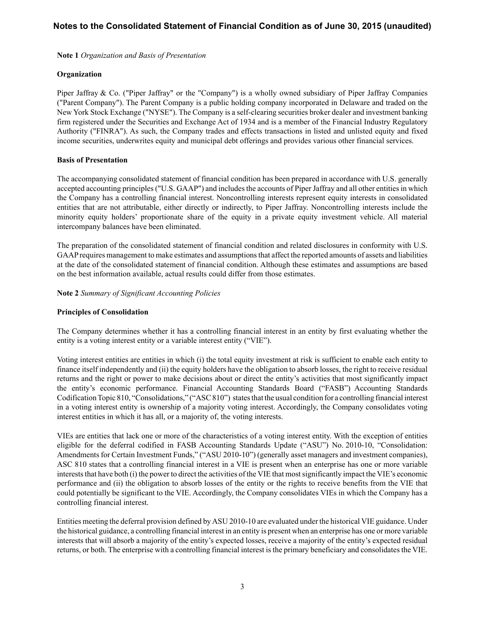**Note 1** *Organization and Basis of Presentation*

## **Organization**

Piper Jaffray & Co. ("Piper Jaffray" or the "Company") is a wholly owned subsidiary of Piper Jaffray Companies ("Parent Company"). The Parent Company is a public holding company incorporated in Delaware and traded on the New York Stock Exchange ("NYSE"). The Company is a self-clearing securities broker dealer and investment banking firm registered under the Securities and Exchange Act of 1934 and is a member of the Financial Industry Regulatory Authority ("FINRA"). As such, the Company trades and effects transactions in listed and unlisted equity and fixed income securities, underwrites equity and municipal debt offerings and provides various other financial services.

## **Basis of Presentation**

The accompanying consolidated statement of financial condition has been prepared in accordance with U.S. generally accepted accounting principles ("U.S. GAAP") and includes the accounts of Piper Jaffray and all other entities in which the Company has a controlling financial interest. Noncontrolling interests represent equity interests in consolidated entities that are not attributable, either directly or indirectly, to Piper Jaffray. Noncontrolling interests include the minority equity holders' proportionate share of the equity in a private equity investment vehicle. All material intercompany balances have been eliminated.

The preparation of the consolidated statement of financial condition and related disclosures in conformity with U.S. GAAPrequires management to make estimates and assumptions that affect the reported amounts of assets and liabilities at the date of the consolidated statement of financial condition. Although these estimates and assumptions are based on the best information available, actual results could differ from those estimates.

**Note 2** *Summary of Significant Accounting Policies*

#### **Principles of Consolidation**

The Company determines whether it has a controlling financial interest in an entity by first evaluating whether the entity is a voting interest entity or a variable interest entity ("VIE").

Voting interest entities are entities in which (i) the total equity investment at risk is sufficient to enable each entity to finance itself independently and (ii) the equity holders have the obligation to absorb losses, the right to receive residual returns and the right or power to make decisions about or direct the entity's activities that most significantly impact the entity's economic performance. Financial Accounting Standards Board ("FASB") Accounting Standards Codification Topic 810, "Consolidations," ("ASC 810") states that the usual condition for a controlling financial interest in a voting interest entity is ownership of a majority voting interest. Accordingly, the Company consolidates voting interest entities in which it has all, or a majority of, the voting interests.

VIEs are entities that lack one or more of the characteristics of a voting interest entity. With the exception of entities eligible for the deferral codified in FASB Accounting Standards Update ("ASU") No. 2010-10, "Consolidation: Amendments for Certain Investment Funds," ("ASU 2010-10") (generally asset managers and investment companies), ASC 810 states that a controlling financial interest in a VIE is present when an enterprise has one or more variable interests that have both (i) the power to direct the activities of the VIE that most significantly impact the VIE's economic performance and (ii) the obligation to absorb losses of the entity or the rights to receive benefits from the VIE that could potentially be significant to the VIE. Accordingly, the Company consolidates VIEs in which the Company has a controlling financial interest.

Entities meeting the deferral provision defined by ASU 2010-10 are evaluated under the historical VIE guidance. Under the historical guidance, a controlling financial interest in an entity is present when an enterprise has one or more variable interests that will absorb a majority of the entity's expected losses, receive a majority of the entity's expected residual returns, or both. The enterprise with a controlling financial interest is the primary beneficiary and consolidates the VIE.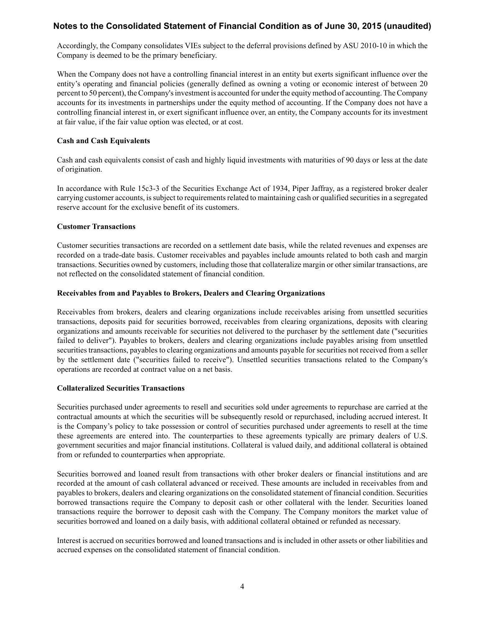Accordingly, the Company consolidates VIEs subject to the deferral provisions defined by ASU 2010-10 in which the Company is deemed to be the primary beneficiary.

When the Company does not have a controlling financial interest in an entity but exerts significant influence over the entity's operating and financial policies (generally defined as owning a voting or economic interest of between 20 percent to 50 percent), the Company's investment is accounted for under the equity method of accounting. The Company accounts for its investments in partnerships under the equity method of accounting. If the Company does not have a controlling financial interest in, or exert significant influence over, an entity, the Company accounts for its investment at fair value, if the fair value option was elected, or at cost.

## **Cash and Cash Equivalents**

Cash and cash equivalents consist of cash and highly liquid investments with maturities of 90 days or less at the date of origination.

In accordance with Rule 15c3-3 of the Securities Exchange Act of 1934, Piper Jaffray, as a registered broker dealer carrying customer accounts, is subject to requirements related to maintaining cash or qualified securities in a segregated reserve account for the exclusive benefit of its customers.

## **Customer Transactions**

Customer securities transactions are recorded on a settlement date basis, while the related revenues and expenses are recorded on a trade-date basis. Customer receivables and payables include amounts related to both cash and margin transactions. Securities owned by customers, including those that collateralize margin or other similar transactions, are not reflected on the consolidated statement of financial condition.

## **Receivables from and Payables to Brokers, Dealers and Clearing Organizations**

Receivables from brokers, dealers and clearing organizations include receivables arising from unsettled securities transactions, deposits paid for securities borrowed, receivables from clearing organizations, deposits with clearing organizations and amounts receivable for securities not delivered to the purchaser by the settlement date ("securities failed to deliver"). Payables to brokers, dealers and clearing organizations include payables arising from unsettled securities transactions, payables to clearing organizations and amounts payable for securities not received from a seller by the settlement date ("securities failed to receive"). Unsettled securities transactions related to the Company's operations are recorded at contract value on a net basis.

## **Collateralized Securities Transactions**

Securities purchased under agreements to resell and securities sold under agreements to repurchase are carried at the contractual amounts at which the securities will be subsequently resold or repurchased, including accrued interest. It is the Company's policy to take possession or control of securities purchased under agreements to resell at the time these agreements are entered into. The counterparties to these agreements typically are primary dealers of U.S. government securities and major financial institutions. Collateral is valued daily, and additional collateral is obtained from or refunded to counterparties when appropriate.

Securities borrowed and loaned result from transactions with other broker dealers or financial institutions and are recorded at the amount of cash collateral advanced or received. These amounts are included in receivables from and payables to brokers, dealers and clearing organizations on the consolidated statement of financial condition. Securities borrowed transactions require the Company to deposit cash or other collateral with the lender. Securities loaned transactions require the borrower to deposit cash with the Company. The Company monitors the market value of securities borrowed and loaned on a daily basis, with additional collateral obtained or refunded as necessary.

Interest is accrued on securities borrowed and loaned transactions and is included in other assets or other liabilities and accrued expenses on the consolidated statement of financial condition.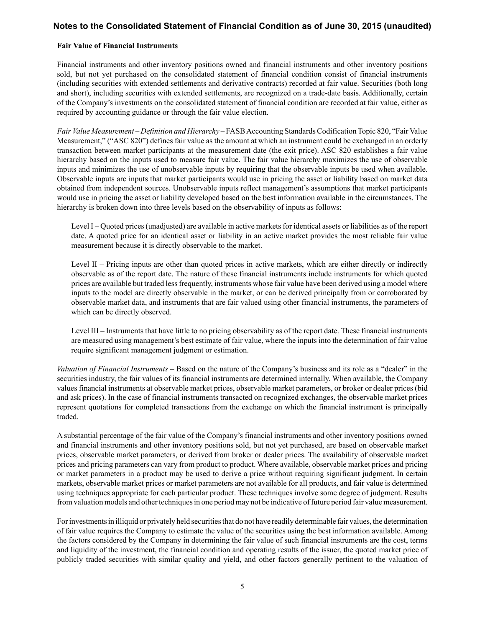## **Fair Value of Financial Instruments**

Financial instruments and other inventory positions owned and financial instruments and other inventory positions sold, but not yet purchased on the consolidated statement of financial condition consist of financial instruments (including securities with extended settlements and derivative contracts) recorded at fair value. Securities (both long and short), including securities with extended settlements, are recognized on a trade-date basis. Additionally, certain of the Company's investments on the consolidated statement of financial condition are recorded at fair value, either as required by accounting guidance or through the fair value election.

*Fair Value Measurement* – *Definition and Hierarchy* – FASB Accounting Standards Codification Topic 820, "Fair Value Measurement," ("ASC 820") defines fair value as the amount at which an instrument could be exchanged in an orderly transaction between market participants at the measurement date (the exit price). ASC 820 establishes a fair value hierarchy based on the inputs used to measure fair value. The fair value hierarchy maximizes the use of observable inputs and minimizes the use of unobservable inputs by requiring that the observable inputs be used when available. Observable inputs are inputs that market participants would use in pricing the asset or liability based on market data obtained from independent sources. Unobservable inputs reflect management's assumptions that market participants would use in pricing the asset or liability developed based on the best information available in the circumstances. The hierarchy is broken down into three levels based on the observability of inputs as follows:

Level I – Quoted prices (unadjusted) are available in active markets for identical assets or liabilities as of the report date. A quoted price for an identical asset or liability in an active market provides the most reliable fair value measurement because it is directly observable to the market.

Level II – Pricing inputs are other than quoted prices in active markets, which are either directly or indirectly observable as of the report date. The nature of these financial instruments include instruments for which quoted prices are available but traded less frequently, instruments whose fair value have been derived using a model where inputs to the model are directly observable in the market, or can be derived principally from or corroborated by observable market data, and instruments that are fair valued using other financial instruments, the parameters of which can be directly observed.

Level III – Instruments that have little to no pricing observability as of the report date. These financial instruments are measured using management's best estimate of fair value, where the inputs into the determination of fair value require significant management judgment or estimation.

*Valuation of Financial Instruments* – Based on the nature of the Company's business and its role as a "dealer" in the securities industry, the fair values of its financial instruments are determined internally. When available, the Company values financial instruments at observable market prices, observable market parameters, or broker or dealer prices (bid and ask prices). In the case of financial instruments transacted on recognized exchanges, the observable market prices represent quotations for completed transactions from the exchange on which the financial instrument is principally traded.

A substantial percentage of the fair value of the Company's financial instruments and other inventory positions owned and financial instruments and other inventory positions sold, but not yet purchased, are based on observable market prices, observable market parameters, or derived from broker or dealer prices. The availability of observable market prices and pricing parameters can vary from product to product. Where available, observable market prices and pricing or market parameters in a product may be used to derive a price without requiring significant judgment. In certain markets, observable market prices or market parameters are not available for all products, and fair value is determined using techniques appropriate for each particular product. These techniques involve some degree of judgment. Results from valuation models and other techniques in one period may not be indicative of future period fair value measurement.

For investments in illiquid or privately held securities that do not have readily determinable fair values, the determination of fair value requires the Company to estimate the value of the securities using the best information available. Among the factors considered by the Company in determining the fair value of such financial instruments are the cost, terms and liquidity of the investment, the financial condition and operating results of the issuer, the quoted market price of publicly traded securities with similar quality and yield, and other factors generally pertinent to the valuation of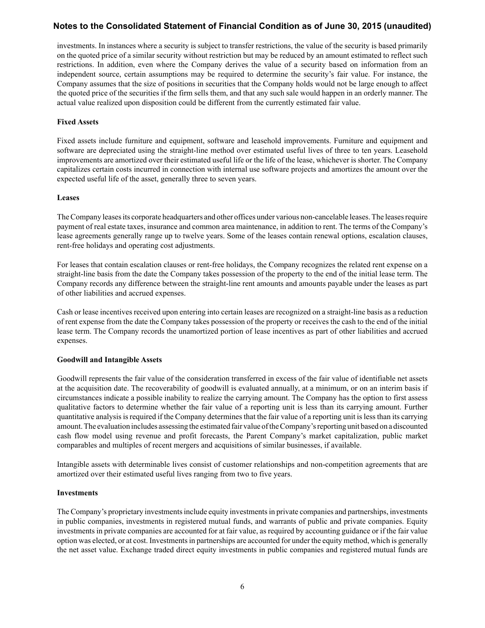investments. In instances where a security is subject to transfer restrictions, the value of the security is based primarily on the quoted price of a similar security without restriction but may be reduced by an amount estimated to reflect such restrictions. In addition, even where the Company derives the value of a security based on information from an independent source, certain assumptions may be required to determine the security's fair value. For instance, the Company assumes that the size of positions in securities that the Company holds would not be large enough to affect the quoted price of the securities if the firm sells them, and that any such sale would happen in an orderly manner. The actual value realized upon disposition could be different from the currently estimated fair value.

#### **Fixed Assets**

Fixed assets include furniture and equipment, software and leasehold improvements. Furniture and equipment and software are depreciated using the straight-line method over estimated useful lives of three to ten years. Leasehold improvements are amortized over their estimated useful life or the life of the lease, whichever is shorter. The Company capitalizes certain costs incurred in connection with internal use software projects and amortizes the amount over the expected useful life of the asset, generally three to seven years.

#### **Leases**

The Company leases its corporate headquarters and other offices under various non-cancelable leases. The leases require payment of real estate taxes, insurance and common area maintenance, in addition to rent. The terms of the Company's lease agreements generally range up to twelve years. Some of the leases contain renewal options, escalation clauses, rent-free holidays and operating cost adjustments.

For leases that contain escalation clauses or rent-free holidays, the Company recognizes the related rent expense on a straight-line basis from the date the Company takes possession of the property to the end of the initial lease term. The Company records any difference between the straight-line rent amounts and amounts payable under the leases as part of other liabilities and accrued expenses.

Cash or lease incentives received upon entering into certain leases are recognized on a straight-line basis as a reduction of rent expense from the date the Company takes possession of the property or receives the cash to the end of the initial lease term. The Company records the unamortized portion of lease incentives as part of other liabilities and accrued expenses.

## **Goodwill and Intangible Assets**

Goodwill represents the fair value of the consideration transferred in excess of the fair value of identifiable net assets at the acquisition date. The recoverability of goodwill is evaluated annually, at a minimum, or on an interim basis if circumstances indicate a possible inability to realize the carrying amount. The Company has the option to first assess qualitative factors to determine whether the fair value of a reporting unit is less than its carrying amount. Further quantitative analysis is required if the Company determines that the fair value of a reporting unit is less than its carrying amount. The evaluation includes assessing the estimated fair value of the Company's reporting unit based on a discounted cash flow model using revenue and profit forecasts, the Parent Company's market capitalization, public market comparables and multiples of recent mergers and acquisitions of similar businesses, if available.

Intangible assets with determinable lives consist of customer relationships and non-competition agreements that are amortized over their estimated useful lives ranging from two to five years.

## **Investments**

The Company's proprietary investments include equity investments in private companies and partnerships, investments in public companies, investments in registered mutual funds, and warrants of public and private companies. Equity investments in private companies are accounted for at fair value, as required by accounting guidance or if the fair value option was elected, or at cost. Investments in partnerships are accounted for under the equity method, which is generally the net asset value. Exchange traded direct equity investments in public companies and registered mutual funds are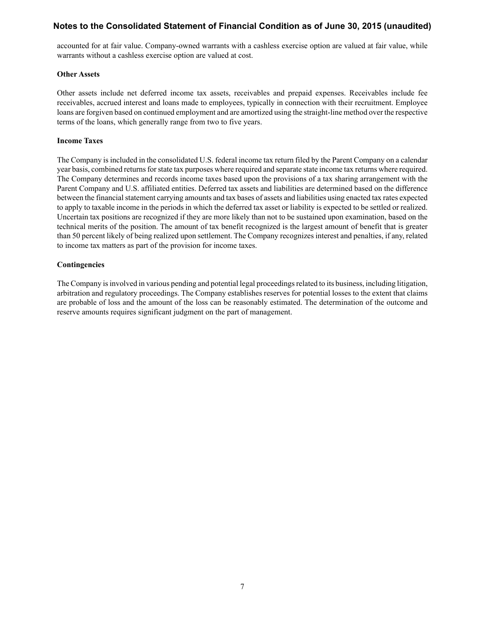accounted for at fair value. Company-owned warrants with a cashless exercise option are valued at fair value, while warrants without a cashless exercise option are valued at cost.

#### **Other Assets**

Other assets include net deferred income tax assets, receivables and prepaid expenses. Receivables include fee receivables, accrued interest and loans made to employees, typically in connection with their recruitment. Employee loans are forgiven based on continued employment and are amortized using the straight-line method over the respective terms of the loans, which generally range from two to five years.

#### **Income Taxes**

The Company is included in the consolidated U.S. federal income tax return filed by the Parent Company on a calendar year basis, combined returns for state tax purposes where required and separate state income tax returns where required. The Company determines and records income taxes based upon the provisions of a tax sharing arrangement with the Parent Company and U.S. affiliated entities. Deferred tax assets and liabilities are determined based on the difference between the financial statement carrying amounts and tax bases of assets and liabilities using enacted tax rates expected to apply to taxable income in the periods in which the deferred tax asset or liability is expected to be settled or realized. Uncertain tax positions are recognized if they are more likely than not to be sustained upon examination, based on the technical merits of the position. The amount of tax benefit recognized is the largest amount of benefit that is greater than 50 percent likely of being realized upon settlement. The Company recognizes interest and penalties, if any, related to income tax matters as part of the provision for income taxes.

#### **Contingencies**

The Company is involved in various pending and potential legal proceedings related to its business, including litigation, arbitration and regulatory proceedings. The Company establishes reserves for potential losses to the extent that claims are probable of loss and the amount of the loss can be reasonably estimated. The determination of the outcome and reserve amounts requires significant judgment on the part of management.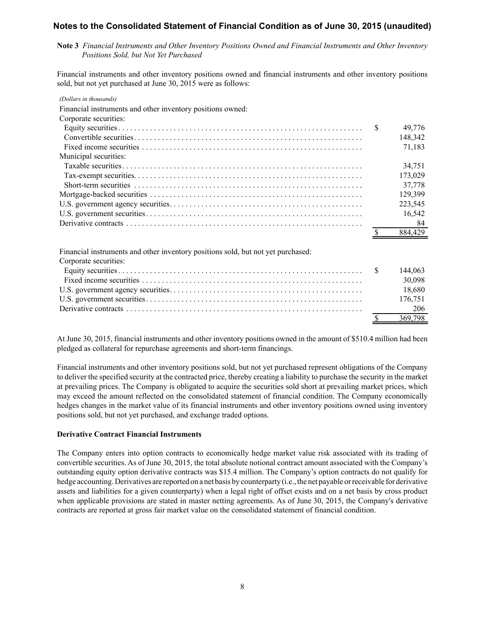**Note 3** *Financial Instruments and Other Inventory Positions Owned and Financial Instruments and Other Inventory Positions Sold, but Not Yet Purchased*

Financial instruments and other inventory positions owned and financial instruments and other inventory positions sold, but not yet purchased at June 30, 2015 were as follows:

| (Dollars in thousands)                                                           |               |         |
|----------------------------------------------------------------------------------|---------------|---------|
| Financial instruments and other inventory positions owned:                       |               |         |
| Corporate securities:                                                            |               |         |
|                                                                                  | <sup>\$</sup> | 49,776  |
|                                                                                  |               | 148,342 |
|                                                                                  |               | 71,183  |
| Municipal securities:                                                            |               |         |
|                                                                                  |               | 34,751  |
|                                                                                  |               | 173,029 |
|                                                                                  |               | 37,778  |
|                                                                                  |               | 129,399 |
|                                                                                  |               | 223,545 |
|                                                                                  |               | 16,542  |
|                                                                                  |               | 84      |
|                                                                                  |               | 884,429 |
|                                                                                  |               |         |
| Financial instruments and other inventory positions sold, but not yet purchased: |               |         |
| Corporate securities:                                                            |               |         |
|                                                                                  | <sup>\$</sup> | 144,063 |
|                                                                                  |               | 30,098  |
|                                                                                  |               | 18,680  |
|                                                                                  |               | 176,751 |
|                                                                                  |               | 206     |
|                                                                                  |               | 369,798 |

At June 30, 2015, financial instruments and other inventory positions owned in the amount of \$510.4 million had been pledged as collateral for repurchase agreements and short-term financings.

Financial instruments and other inventory positions sold, but not yet purchased represent obligations of the Company to deliver the specified security at the contracted price, thereby creating a liability to purchase the security in the market at prevailing prices. The Company is obligated to acquire the securities sold short at prevailing market prices, which may exceed the amount reflected on the consolidated statement of financial condition. The Company economically hedges changes in the market value of its financial instruments and other inventory positions owned using inventory positions sold, but not yet purchased, and exchange traded options.

## **Derivative Contract Financial Instruments**

The Company enters into option contracts to economically hedge market value risk associated with its trading of convertible securities. As of June 30, 2015, the total absolute notional contract amount associated with the Company's outstanding equity option derivative contracts was \$15.4 million. The Company's option contracts do not qualify for hedge accounting. Derivatives are reported on a net basis by counterparty (i.e., the net payable or receivable for derivative assets and liabilities for a given counterparty) when a legal right of offset exists and on a net basis by cross product when applicable provisions are stated in master netting agreements. As of June 30, 2015, the Company's derivative contracts are reported at gross fair market value on the consolidated statement of financial condition.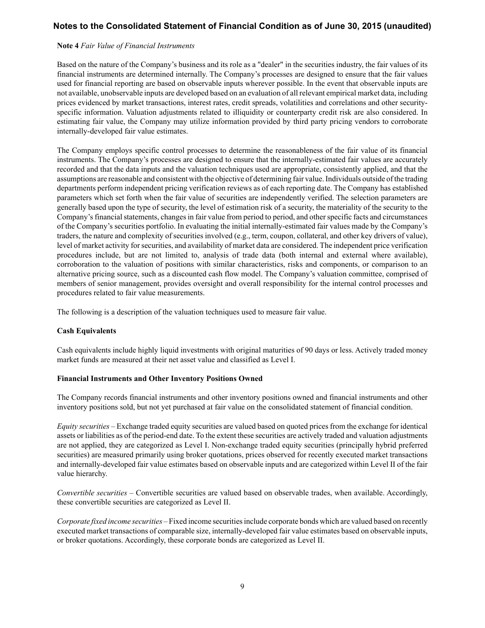#### **Note 4** *Fair Value of Financial Instruments*

Based on the nature of the Company's business and its role as a "dealer" in the securities industry, the fair values of its financial instruments are determined internally. The Company's processes are designed to ensure that the fair values used for financial reporting are based on observable inputs wherever possible. In the event that observable inputs are not available, unobservable inputs are developed based on an evaluation of all relevant empirical market data, including prices evidenced by market transactions, interest rates, credit spreads, volatilities and correlations and other securityspecific information. Valuation adjustments related to illiquidity or counterparty credit risk are also considered. In estimating fair value, the Company may utilize information provided by third party pricing vendors to corroborate internally-developed fair value estimates.

The Company employs specific control processes to determine the reasonableness of the fair value of its financial instruments. The Company's processes are designed to ensure that the internally-estimated fair values are accurately recorded and that the data inputs and the valuation techniques used are appropriate, consistently applied, and that the assumptions are reasonable and consistent with the objective of determining fair value. Individuals outside of the trading departments perform independent pricing verification reviews as of each reporting date. The Company has established parameters which set forth when the fair value of securities are independently verified. The selection parameters are generally based upon the type of security, the level of estimation risk of a security, the materiality of the security to the Company's financial statements, changes in fair value from period to period, and other specific facts and circumstances of the Company's securities portfolio. In evaluating the initial internally-estimated fair values made by the Company's traders, the nature and complexity of securities involved (e.g., term, coupon, collateral, and other key drivers of value), level of market activity for securities, and availability of market data are considered. The independent price verification procedures include, but are not limited to, analysis of trade data (both internal and external where available), corroboration to the valuation of positions with similar characteristics, risks and components, or comparison to an alternative pricing source, such as a discounted cash flow model. The Company's valuation committee, comprised of members of senior management, provides oversight and overall responsibility for the internal control processes and procedures related to fair value measurements.

The following is a description of the valuation techniques used to measure fair value.

## **Cash Equivalents**

Cash equivalents include highly liquid investments with original maturities of 90 days or less. Actively traded money market funds are measured at their net asset value and classified as Level I.

#### **Financial Instruments and Other Inventory Positions Owned**

The Company records financial instruments and other inventory positions owned and financial instruments and other inventory positions sold, but not yet purchased at fair value on the consolidated statement of financial condition.

*Equity securities –* Exchange traded equity securities are valued based on quoted prices from the exchange for identical assets or liabilities as of the period-end date. To the extent these securities are actively traded and valuation adjustments are not applied, they are categorized as Level I. Non-exchange traded equity securities (principally hybrid preferred securities) are measured primarily using broker quotations, prices observed for recently executed market transactions and internally-developed fair value estimates based on observable inputs and are categorized within Level II of the fair value hierarchy.

*Convertible securities –* Convertible securities are valued based on observable trades, when available. Accordingly, these convertible securities are categorized as Level II.

*Corporate fixed income securities –*Fixed income securities include corporate bonds which are valued based on recently executed market transactions of comparable size, internally-developed fair value estimates based on observable inputs, or broker quotations. Accordingly, these corporate bonds are categorized as Level II.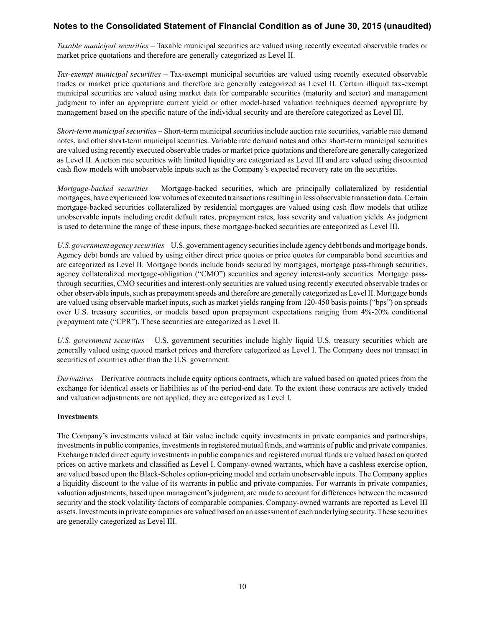*Taxable municipal securities –* Taxable municipal securities are valued using recently executed observable trades or market price quotations and therefore are generally categorized as Level II.

*Tax-exempt municipal securities –* Tax-exempt municipal securities are valued using recently executed observable trades or market price quotations and therefore are generally categorized as Level II. Certain illiquid tax-exempt municipal securities are valued using market data for comparable securities (maturity and sector) and management judgment to infer an appropriate current yield or other model-based valuation techniques deemed appropriate by management based on the specific nature of the individual security and are therefore categorized as Level III.

*Short-term municipal securities –* Short-term municipal securities include auction rate securities, variable rate demand notes, and other short-term municipal securities. Variable rate demand notes and other short-term municipal securities are valued using recently executed observable trades or market price quotations and therefore are generally categorized as Level II. Auction rate securities with limited liquidity are categorized as Level III and are valued using discounted cash flow models with unobservable inputs such as the Company's expected recovery rate on the securities.

*Mortgage-backed securities –* Mortgage-backed securities, which are principally collateralized by residential mortgages, have experienced low volumes of executed transactions resulting in less observable transaction data. Certain mortgage-backed securities collateralized by residential mortgages are valued using cash flow models that utilize unobservable inputs including credit default rates, prepayment rates, loss severity and valuation yields. As judgment is used to determine the range of these inputs, these mortgage-backed securities are categorized as Level III.

*U.S. government agency securities –* U.S. government agency securities include agency debt bonds and mortgage bonds. Agency debt bonds are valued by using either direct price quotes or price quotes for comparable bond securities and are categorized as Level II. Mortgage bonds include bonds secured by mortgages, mortgage pass-through securities, agency collateralized mortgage-obligation ("CMO") securities and agency interest-only securities. Mortgage passthrough securities, CMO securities and interest-only securities are valued using recently executed observable trades or other observable inputs, such as prepayment speeds and therefore are generally categorized as Level II. Mortgage bonds are valued using observable market inputs, such as market yields ranging from 120-450 basis points ("bps") on spreads over U.S. treasury securities, or models based upon prepayment expectations ranging from 4%-20% conditional prepayment rate ("CPR"). These securities are categorized as Level II.

*U.S. government securities –* U.S. government securities include highly liquid U.S. treasury securities which are generally valued using quoted market prices and therefore categorized as Level I. The Company does not transact in securities of countries other than the U.S. government.

*Derivatives –* Derivative contracts include equity options contracts, which are valued based on quoted prices from the exchange for identical assets or liabilities as of the period-end date. To the extent these contracts are actively traded and valuation adjustments are not applied, they are categorized as Level I.

## **Investments**

The Company's investments valued at fair value include equity investments in private companies and partnerships, investments in public companies, investments in registered mutual funds, and warrants of public and private companies. Exchange traded direct equity investments in public companies and registered mutual funds are valued based on quoted prices on active markets and classified as Level I. Company-owned warrants, which have a cashless exercise option, are valued based upon the Black-Scholes option-pricing model and certain unobservable inputs. The Company applies a liquidity discount to the value of its warrants in public and private companies. For warrants in private companies, valuation adjustments, based upon management's judgment, are made to account for differences between the measured security and the stock volatility factors of comparable companies. Company-owned warrants are reported as Level III assets. Investments in private companies are valued based on an assessment of each underlying security. These securities are generally categorized as Level III.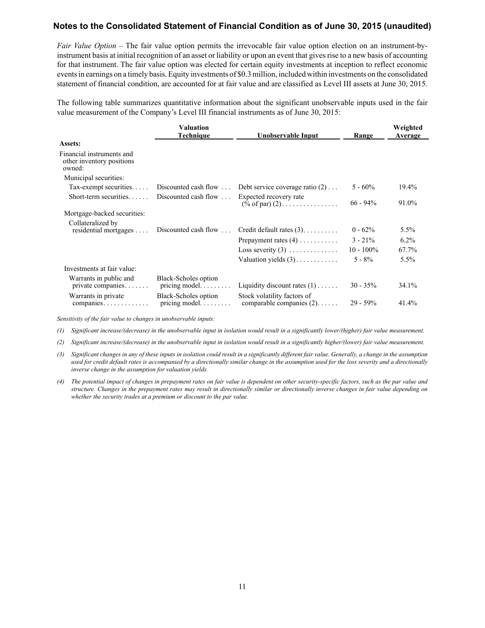*Fair Value Option –* The fair value option permits the irrevocable fair value option election on an instrument-byinstrument basis at initial recognition of an asset or liability or upon an event that gives rise to a new basis of accounting for that instrument. The fair value option was elected for certain equity investments at inception to reflect economic events in earnings on a timely basis. Equity investments of \$0.3 million, included within investments on the consolidated statement of financial condition, are accounted for at fair value and are classified as Level III assets at June 30, 2015.

The following table summarizes quantitative information about the significant unobservable inputs used in the fair value measurement of the Company's Level III financial instruments as of June 30, 2015:

|                                                                  | Valuation<br><b>Technique</b>                        | Unobservable Input                                        | Range        | Weighted<br>Average |
|------------------------------------------------------------------|------------------------------------------------------|-----------------------------------------------------------|--------------|---------------------|
| Assets:                                                          |                                                      |                                                           |              |                     |
| Financial instruments and<br>other inventory positions<br>owned: |                                                      |                                                           |              |                     |
| Municipal securities:                                            |                                                      |                                                           |              |                     |
| Tax-exempt securities                                            |                                                      | Discounted cash flow  Debt service coverage ratio $(2)$   | $5 - 60\%$   | 19.4%               |
| Short-term securities                                            | Discounted cash flow $\dots$                         | Expected recovery rate<br>$(\% \text{ of par}) (2)$       | $66 - 94\%$  | 91.0%               |
| Mortgage-backed securities:                                      |                                                      |                                                           |              |                     |
| Collateralized by<br>$residental$ mortgages $\dots$              | Discounted cash flow                                 | Credit default rates $(3)$                                | $0 - 62\%$   | 5.5%                |
|                                                                  |                                                      | Prepayment rates $(4)$                                    | $3 - 21\%$   | $6.2\%$             |
|                                                                  |                                                      | Loss severity $(3)$                                       | $10 - 100\%$ | 67.7%               |
|                                                                  |                                                      | Valuation yields $(3)$                                    | $5 - 8\%$    | 5.5%                |
| Investments at fair value:                                       |                                                      |                                                           |              |                     |
| Warrants in public and<br>private companies                      | Black-Scholes option<br>pricing model. $\dots \dots$ | Liquidity discount rates $(1)$                            | $30 - 35\%$  | 34.1%               |
| Warrants in private<br>$companes \dots \dots \dots \dots$        | Black-Scholes option<br>pricing model                | Stock volatility factors of<br>comparable companies $(2)$ | $29 - 59\%$  | 41.4%               |

*Sensitivity of the fair value to changes in unobservable inputs:*

*(1) Significant increase/(decrease) in the unobservable input in isolation would result in a significantly lower/(higher) fair value measurement.*

*(2) Significant increase/(decrease) in the unobservable input in isolation would result in a significantly higher/(lower) fair value measurement.*

- *(3) Significant changes in any of these inputs in isolation could result in a significantly different fair value. Generally, a change in the assumption*  used for credit default rates is accompanied by a directionally similar change in the assumption used for the loss severity and a directionally *inverse change in the assumption for valuation yields.*
- *(4) The potential impact of changes in prepayment rates on fair value is dependent on other security-specific factors, such as the par value and structure. Changes in the prepayment rates may result in directionally similar or directionally inverse changes in fair value depending on whether the security trades at a premium or discount to the par value.*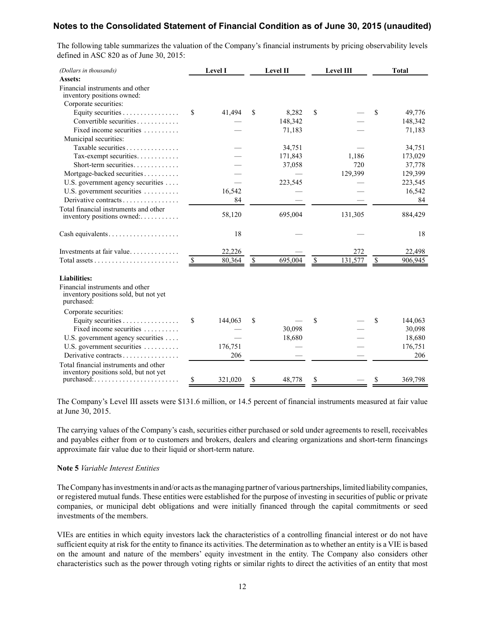The following table summarizes the valuation of the Company's financial instruments by pricing observability levels defined in ASC 820 as of June 30, 2015:

| (Dollars in thousands)                                                                 |                          | Level I |               | Level II |      | Level III | <b>Total</b>  |
|----------------------------------------------------------------------------------------|--------------------------|---------|---------------|----------|------|-----------|---------------|
| Assets:                                                                                |                          |         |               |          |      |           |               |
| Financial instruments and other<br>inventory positions owned:                          |                          |         |               |          |      |           |               |
| Corporate securities:                                                                  |                          |         |               |          |      |           |               |
| Equity securities                                                                      | \$                       | 41,494  | S             | 8,282    | \$   |           | \$<br>49,776  |
| Convertible securities                                                                 |                          |         |               | 148,342  |      |           | 148,342       |
| Fixed income securities                                                                |                          |         |               | 71,183   |      |           | 71,183        |
| Municipal securities:                                                                  |                          |         |               |          |      |           |               |
| Taxable securities                                                                     |                          |         |               | 34,751   |      |           | 34,751        |
| Tax-exempt securities                                                                  |                          |         |               | 171,843  |      | 1,186     | 173,029       |
| Short-term securities                                                                  |                          |         |               | 37,058   |      | 720       | 37,778        |
| Mortgage-backed securities                                                             |                          |         |               |          |      | 129,399   | 129,399       |
| U.S. government agency securities                                                      |                          |         |               | 223,545  |      |           | 223,545       |
| U.S. government securities                                                             |                          | 16,542  |               |          |      |           | 16,542        |
| Derivative contracts                                                                   |                          | 84      |               |          |      |           | 84            |
| Total financial instruments and other<br>inventory positions owned:                    |                          | 58,120  |               | 695,004  |      | 131,305   | 884,429       |
|                                                                                        |                          |         |               |          |      |           |               |
| Cash equivalents                                                                       |                          | 18      |               |          |      |           | 18            |
| Investments at fair value                                                              |                          | 22,226  |               |          |      | 272       | 22,498        |
|                                                                                        | $\overline{\mathcal{L}}$ | 80,364  | $\mathcal{S}$ | 695,004  | $\$$ | 131,577   | \$<br>906,945 |
| <b>Liabilities:</b>                                                                    |                          |         |               |          |      |           |               |
| Financial instruments and other<br>inventory positions sold, but not yet<br>purchased: |                          |         |               |          |      |           |               |
| Corporate securities:                                                                  |                          |         |               |          |      |           |               |
| Equity securities                                                                      | \$                       | 144,063 | \$            |          | \$   |           | \$<br>144,063 |
| Fixed income securities $\ldots$                                                       |                          |         |               | 30,098   |      |           | 30,098        |
| U.S. government agency securities                                                      |                          |         |               | 18,680   |      |           | 18,680        |
| U.S. government securities                                                             |                          | 176,751 |               |          |      |           | 176,751       |
| Derivative contracts                                                                   |                          | 206     |               |          |      |           | 206           |
| Total financial instruments and other<br>inventory positions sold, but not yet         |                          |         |               |          |      |           |               |
|                                                                                        | \$                       | 321,020 | \$            | 48,778   | \$   |           | \$<br>369,798 |

The Company's Level III assets were \$131.6 million, or 14.5 percent of financial instruments measured at fair value at June 30, 2015.

The carrying values of the Company's cash, securities either purchased or sold under agreements to resell, receivables and payables either from or to customers and brokers, dealers and clearing organizations and short-term financings approximate fair value due to their liquid or short-term nature.

#### **Note 5** *Variable Interest Entities*

The Company has investments in and/or acts as the managing partner of various partnerships, limited liability companies, or registered mutual funds. These entities were established for the purpose of investing in securities of public or private companies, or municipal debt obligations and were initially financed through the capital commitments or seed investments of the members.

VIEs are entities in which equity investors lack the characteristics of a controlling financial interest or do not have sufficient equity at risk for the entity to finance its activities. The determination as to whether an entity is a VIE is based on the amount and nature of the members' equity investment in the entity. The Company also considers other characteristics such as the power through voting rights or similar rights to direct the activities of an entity that most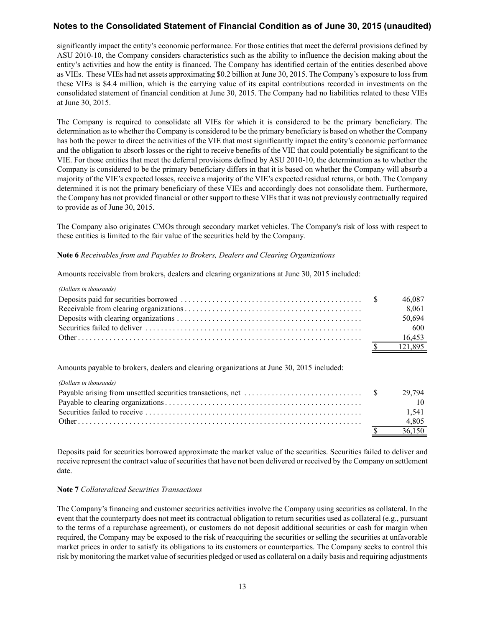significantly impact the entity's economic performance. For those entities that meet the deferral provisions defined by ASU 2010-10, the Company considers characteristics such as the ability to influence the decision making about the entity's activities and how the entity is financed. The Company has identified certain of the entities described above as VIEs. These VIEs had net assets approximating \$0.2 billion at June 30, 2015. The Company's exposure to loss from these VIEs is \$4.4 million, which is the carrying value of its capital contributions recorded in investments on the consolidated statement of financial condition at June 30, 2015. The Company had no liabilities related to these VIEs at June 30, 2015.

The Company is required to consolidate all VIEs for which it is considered to be the primary beneficiary. The determination as to whether the Company is considered to be the primary beneficiary is based on whether the Company has both the power to direct the activities of the VIE that most significantly impact the entity's economic performance and the obligation to absorb losses or the right to receive benefits of the VIE that could potentially be significant to the VIE. For those entities that meet the deferral provisions defined by ASU 2010-10, the determination as to whether the Company is considered to be the primary beneficiary differs in that it is based on whether the Company will absorb a majority of the VIE's expected losses, receive a majority of the VIE's expected residual returns, or both. The Company determined it is not the primary beneficiary of these VIEs and accordingly does not consolidate them. Furthermore, the Company has not provided financial or other support to these VIEs that it was not previously contractually required to provide as of June 30, 2015.

The Company also originates CMOs through secondary market vehicles. The Company's risk of loss with respect to these entities is limited to the fair value of the securities held by the Company.

#### **Note 6** *Receivables from and Payables to Brokers, Dealers and Clearing Organizations*

Amounts receivable from brokers, dealers and clearing organizations at June 30, 2015 included:

|  | 46.087  |
|--|---------|
|  | 8.061   |
|  | 50.694  |
|  | -600    |
|  | 16.453  |
|  | 121 895 |

Amounts payable to brokers, dealers and clearing organizations at June 30, 2015 included:

| (Dollars in thousands) |        |
|------------------------|--------|
|                        | 29.794 |
|                        |        |
|                        | 1.541  |
|                        | 4,805  |
|                        | 36,150 |

Deposits paid for securities borrowed approximate the market value of the securities. Securities failed to deliver and receive represent the contract value of securities that have not been delivered or received by the Company on settlement date.

## **Note 7** *Collateralized Securities Transactions*

The Company's financing and customer securities activities involve the Company using securities as collateral. In the event that the counterparty does not meet its contractual obligation to return securities used as collateral (e.g., pursuant to the terms of a repurchase agreement), or customers do not deposit additional securities or cash for margin when required, the Company may be exposed to the risk of reacquiring the securities or selling the securities at unfavorable market prices in order to satisfy its obligations to its customers or counterparties. The Company seeks to control this risk by monitoring the market value of securities pledged or used as collateral on a daily basis and requiring adjustments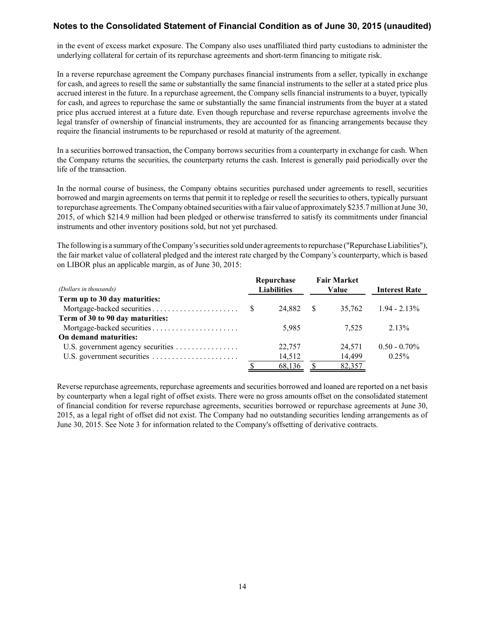in the event of excess market exposure. The Company also uses unaffiliated third party custodians to administer the underlying collateral for certain of its repurchase agreements and short-term financing to mitigate risk.

In a reverse repurchase agreement the Company purchases financial instruments from a seller, typically in exchange for cash, and agrees to resell the same or substantially the same financial instruments to the seller at a stated price plus accrued interest in the future. In a repurchase agreement, the Company sells financial instruments to a buyer, typically for cash, and agrees to repurchase the same or substantially the same financial instruments from the buyer at a stated price plus accrued interest at a future date. Even though repurchase and reverse repurchase agreements involve the legal transfer of ownership of financial instruments, they are accounted for as financing arrangements because they require the financial instruments to be repurchased or resold at maturity of the agreement.

In a securities borrowed transaction, the Company borrows securities from a counterparty in exchange for cash. When the Company returns the securities, the counterparty returns the cash. Interest is generally paid periodically over the life of the transaction.

In the normal course of business, the Company obtains securities purchased under agreements to resell, securities borrowed and margin agreements on terms that permit it to repledge or resell the securities to others, typically pursuant to repurchase agreements. The Company obtained securities with a fair value of approximately \$235.7 million at June 30, 2015, of which \$214.9 million had been pledged or otherwise transferred to satisfy its commitments under financial instruments and other inventory positions sold, but not yet purchased.

The following is a summary of the Company's securities sold under agreements to repurchase ("Repurchase Liabilities"), the fair market value of collateral pledged and the interest rate charged by the Company's counterparty, which is based on LIBOR plus an applicable margin, as of June 30, 2015:

|                                  |    | Repurchase         | <b>Fair Market</b> |                      |
|----------------------------------|----|--------------------|--------------------|----------------------|
| (Dollars in thousands)           |    | <b>Liabilities</b> | Value              | <b>Interest Rate</b> |
| Term up to 30 day maturities:    |    |                    |                    |                      |
|                                  | -S | 24.882 \$          | 35.762             | $1.94 - 2.13\%$      |
| Term of 30 to 90 day maturities: |    |                    |                    |                      |
|                                  |    | 5.985              | 7.525              | 2.13%                |
| On demand maturities:            |    |                    |                    |                      |
|                                  |    | 22,757             | 24,571             | $0.50 - 0.70\%$      |
|                                  |    | 14,512             | 14,499             | $0.25\%$             |
|                                  |    | 68,136             | 82,357             |                      |

Reverse repurchase agreements, repurchase agreements and securities borrowed and loaned are reported on a net basis by counterparty when a legal right of offset exists. There were no gross amounts offset on the consolidated statement of financial condition for reverse repurchase agreements, securities borrowed or repurchase agreements at June 30, 2015, as a legal right of offset did not exist. The Company had no outstanding securities lending arrangements as of June 30, 2015. See Note 3 for information related to the Company's offsetting of derivative contracts.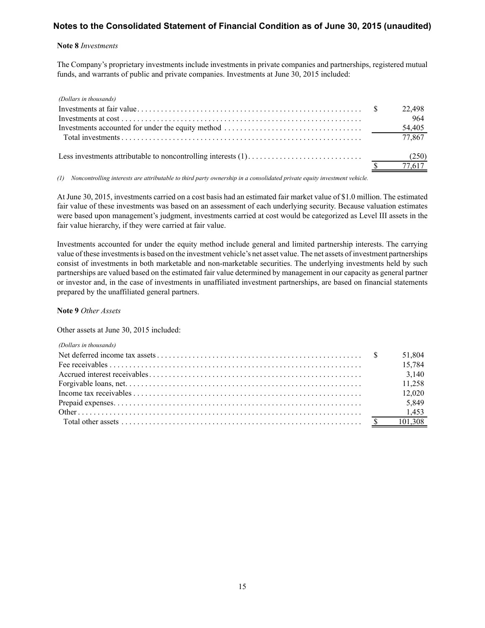#### **Note 8** *Investments*

The Company's proprietary investments include investments in private companies and partnerships, registered mutual funds, and warrants of public and private companies. Investments at June 30, 2015 included:

| (Dollars in thousands) |        |
|------------------------|--------|
|                        | 22,498 |
|                        | 964    |
|                        | 54,405 |
|                        | 77,867 |
|                        |        |
|                        | 77,617 |

*(1) Noncontrolling interests are attributable to third party ownership in a consolidated private equity investment vehicle.*

At June 30, 2015, investments carried on a cost basis had an estimated fair market value of \$1.0 million. The estimated fair value of these investments was based on an assessment of each underlying security. Because valuation estimates were based upon management's judgment, investments carried at cost would be categorized as Level III assets in the fair value hierarchy, if they were carried at fair value.

Investments accounted for under the equity method include general and limited partnership interests. The carrying value of these investments is based on the investment vehicle's net asset value. The net assets of investment partnerships consist of investments in both marketable and non-marketable securities. The underlying investments held by such partnerships are valued based on the estimated fair value determined by management in our capacity as general partner or investor and, in the case of investments in unaffiliated investment partnerships, are based on financial statements prepared by the unaffiliated general partners.

#### **Note 9** *Other Assets*

Other assets at June 30, 2015 included:

| (Dollars in thousands) |        |
|------------------------|--------|
|                        | 51,804 |
|                        |        |
|                        |        |
|                        | 11,258 |
|                        | 12,020 |
|                        | 5,849  |
|                        |        |
|                        |        |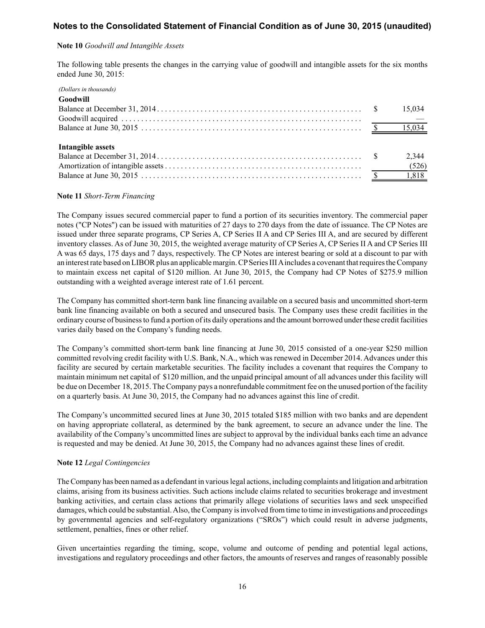## **Note 10** *Goodwill and Intangible Assets*

The following table presents the changes in the carrying value of goodwill and intangible assets for the six months ended June 30, 2015:

| (Dollars in thousands) |        |
|------------------------|--------|
| Goodwill               |        |
|                        | 15,034 |
|                        |        |
|                        |        |
|                        |        |
| Intangible assets      |        |
|                        | 2,344  |
|                        | (526)  |
|                        |        |

#### **Note 11** *Short-Term Financing*

The Company issues secured commercial paper to fund a portion of its securities inventory. The commercial paper notes ("CP Notes") can be issued with maturities of 27 days to 270 days from the date of issuance. The CP Notes are issued under three separate programs, CP Series A, CP Series II A and CP Series III A, and are secured by different inventory classes. As of June 30, 2015, the weighted average maturity of CP Series A, CP Series II A and CP Series III A was 65 days, 175 days and 7 days, respectively. The CP Notes are interest bearing or sold at a discount to par with an interest rate based on LIBOR plus an applicable margin. CPSeries III Aincludes a covenant that requires the Company to maintain excess net capital of \$120 million. At June 30, 2015, the Company had CP Notes of \$275.9 million outstanding with a weighted average interest rate of 1.61 percent.

The Company has committed short-term bank line financing available on a secured basis and uncommitted short-term bank line financing available on both a secured and unsecured basis. The Company uses these credit facilities in the ordinary course of business to fund a portion of its daily operations and the amount borrowed under these credit facilities varies daily based on the Company's funding needs.

The Company's committed short-term bank line financing at June 30, 2015 consisted of a one-year \$250 million committed revolving credit facility with U.S. Bank, N.A., which was renewed in December 2014. Advances under this facility are secured by certain marketable securities. The facility includes a covenant that requires the Company to maintain minimum net capital of \$120 million, and the unpaid principal amount of all advances under this facility will be due on December 18, 2015. The Company pays a nonrefundable commitment fee on the unused portion of the facility on a quarterly basis. At June 30, 2015, the Company had no advances against this line of credit.

The Company's uncommitted secured lines at June 30, 2015 totaled \$185 million with two banks and are dependent on having appropriate collateral, as determined by the bank agreement, to secure an advance under the line. The availability of the Company's uncommitted lines are subject to approval by the individual banks each time an advance is requested and may be denied. At June 30, 2015, the Company had no advances against these lines of credit.

## **Note 12** *Legal Contingencies*

The Company has been named as a defendant in various legal actions, including complaints and litigation and arbitration claims, arising from its business activities. Such actions include claims related to securities brokerage and investment banking activities, and certain class actions that primarily allege violations of securities laws and seek unspecified damages, which could be substantial. Also, the Company is involved from time to time in investigations and proceedings by governmental agencies and self-regulatory organizations ("SROs") which could result in adverse judgments, settlement, penalties, fines or other relief.

Given uncertainties regarding the timing, scope, volume and outcome of pending and potential legal actions, investigations and regulatory proceedings and other factors, the amounts of reserves and ranges of reasonably possible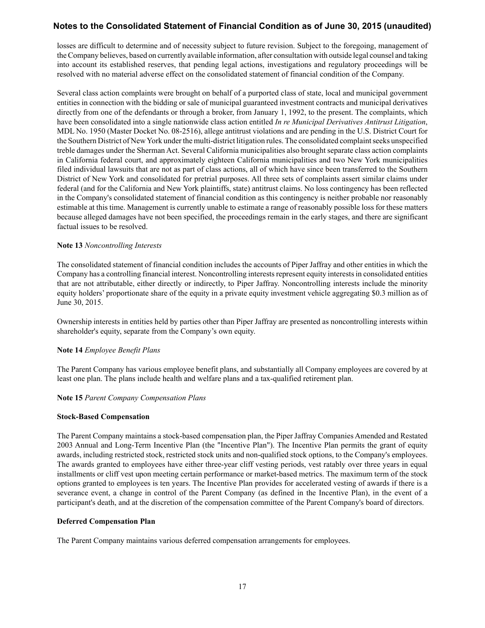losses are difficult to determine and of necessity subject to future revision. Subject to the foregoing, management of the Company believes, based on currently available information, after consultation with outside legal counsel and taking into account its established reserves, that pending legal actions, investigations and regulatory proceedings will be resolved with no material adverse effect on the consolidated statement of financial condition of the Company.

Several class action complaints were brought on behalf of a purported class of state, local and municipal government entities in connection with the bidding or sale of municipal guaranteed investment contracts and municipal derivatives directly from one of the defendants or through a broker, from January 1, 1992, to the present. The complaints, which have been consolidated into a single nationwide class action entitled *In re Municipal Derivatives Antitrust Litigation*, MDL No. 1950 (Master Docket No. 08-2516), allege antitrust violations and are pending in the U.S. District Court for the Southern District of New York under the multi-district litigation rules. The consolidated complaint seeks unspecified treble damages under the Sherman Act. Several California municipalities also brought separate class action complaints in California federal court, and approximately eighteen California municipalities and two New York municipalities filed individual lawsuits that are not as part of class actions, all of which have since been transferred to the Southern District of New York and consolidated for pretrial purposes. All three sets of complaints assert similar claims under federal (and for the California and New York plaintiffs, state) antitrust claims. No loss contingency has been reflected in the Company's consolidated statement of financial condition as this contingency is neither probable nor reasonably estimable at this time. Management is currently unable to estimate a range of reasonably possible loss for these matters because alleged damages have not been specified, the proceedings remain in the early stages, and there are significant factual issues to be resolved.

## **Note 13** *Noncontrolling Interests*

The consolidated statement of financial condition includes the accounts of Piper Jaffray and other entities in which the Company has a controlling financial interest. Noncontrolling interests represent equity interests in consolidated entities that are not attributable, either directly or indirectly, to Piper Jaffray. Noncontrolling interests include the minority equity holders' proportionate share of the equity in a private equity investment vehicle aggregating \$0.3 million as of June 30, 2015.

Ownership interests in entities held by parties other than Piper Jaffray are presented as noncontrolling interests within shareholder's equity, separate from the Company's own equity.

## **Note 14** *Employee Benefit Plans*

The Parent Company has various employee benefit plans, and substantially all Company employees are covered by at least one plan. The plans include health and welfare plans and a tax-qualified retirement plan.

## **Note 15** *Parent Company Compensation Plans*

## **Stock-Based Compensation**

The Parent Company maintains a stock-based compensation plan, the Piper Jaffray Companies Amended and Restated 2003 Annual and Long-Term Incentive Plan (the "Incentive Plan"). The Incentive Plan permits the grant of equity awards, including restricted stock, restricted stock units and non-qualified stock options, to the Company's employees. The awards granted to employees have either three-year cliff vesting periods, vest ratably over three years in equal installments or cliff vest upon meeting certain performance or market-based metrics. The maximum term of the stock options granted to employees is ten years. The Incentive Plan provides for accelerated vesting of awards if there is a severance event, a change in control of the Parent Company (as defined in the Incentive Plan), in the event of a participant's death, and at the discretion of the compensation committee of the Parent Company's board of directors.

## **Deferred Compensation Plan**

The Parent Company maintains various deferred compensation arrangements for employees.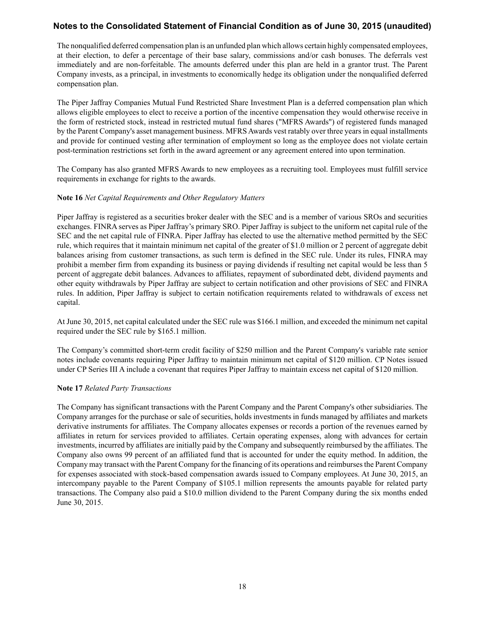The nonqualified deferred compensation plan is an unfunded plan which allows certain highly compensated employees, at their election, to defer a percentage of their base salary, commissions and/or cash bonuses. The deferrals vest immediately and are non-forfeitable. The amounts deferred under this plan are held in a grantor trust. The Parent Company invests, as a principal, in investments to economically hedge its obligation under the nonqualified deferred compensation plan.

The Piper Jaffray Companies Mutual Fund Restricted Share Investment Plan is a deferred compensation plan which allows eligible employees to elect to receive a portion of the incentive compensation they would otherwise receive in the form of restricted stock, instead in restricted mutual fund shares ("MFRS Awards") of registered funds managed by the Parent Company's asset management business. MFRS Awards vest ratably over three years in equal installments and provide for continued vesting after termination of employment so long as the employee does not violate certain post-termination restrictions set forth in the award agreement or any agreement entered into upon termination.

The Company has also granted MFRS Awards to new employees as a recruiting tool. Employees must fulfill service requirements in exchange for rights to the awards.

## **Note 16** *Net Capital Requirements and Other Regulatory Matters*

Piper Jaffray is registered as a securities broker dealer with the SEC and is a member of various SROs and securities exchanges. FINRA serves as Piper Jaffray's primary SRO. Piper Jaffray is subject to the uniform net capital rule of the SEC and the net capital rule of FINRA. Piper Jaffray has elected to use the alternative method permitted by the SEC rule, which requires that it maintain minimum net capital of the greater of \$1.0 million or 2 percent of aggregate debit balances arising from customer transactions, as such term is defined in the SEC rule. Under its rules, FINRA may prohibit a member firm from expanding its business or paying dividends if resulting net capital would be less than 5 percent of aggregate debit balances. Advances to affiliates, repayment of subordinated debt, dividend payments and other equity withdrawals by Piper Jaffray are subject to certain notification and other provisions of SEC and FINRA rules. In addition, Piper Jaffray is subject to certain notification requirements related to withdrawals of excess net capital.

At June 30, 2015, net capital calculated under the SEC rule was \$166.1 million, and exceeded the minimum net capital required under the SEC rule by \$165.1 million.

The Company's committed short-term credit facility of \$250 million and the Parent Company's variable rate senior notes include covenants requiring Piper Jaffray to maintain minimum net capital of \$120 million. CP Notes issued under CP Series III A include a covenant that requires Piper Jaffray to maintain excess net capital of \$120 million.

## **Note 17** *Related Party Transactions*

The Company has significant transactions with the Parent Company and the Parent Company's other subsidiaries. The Company arranges for the purchase or sale of securities, holds investments in funds managed by affiliates and markets derivative instruments for affiliates. The Company allocates expenses or records a portion of the revenues earned by affiliates in return for services provided to affiliates. Certain operating expenses, along with advances for certain investments, incurred by affiliates are initially paid by the Company and subsequently reimbursed by the affiliates. The Company also owns 99 percent of an affiliated fund that is accounted for under the equity method. In addition, the Company may transact with the Parent Company for the financing of its operations and reimburses the Parent Company for expenses associated with stock-based compensation awards issued to Company employees. At June 30, 2015, an intercompany payable to the Parent Company of \$105.1 million represents the amounts payable for related party transactions. The Company also paid a \$10.0 million dividend to the Parent Company during the six months ended June 30, 2015.